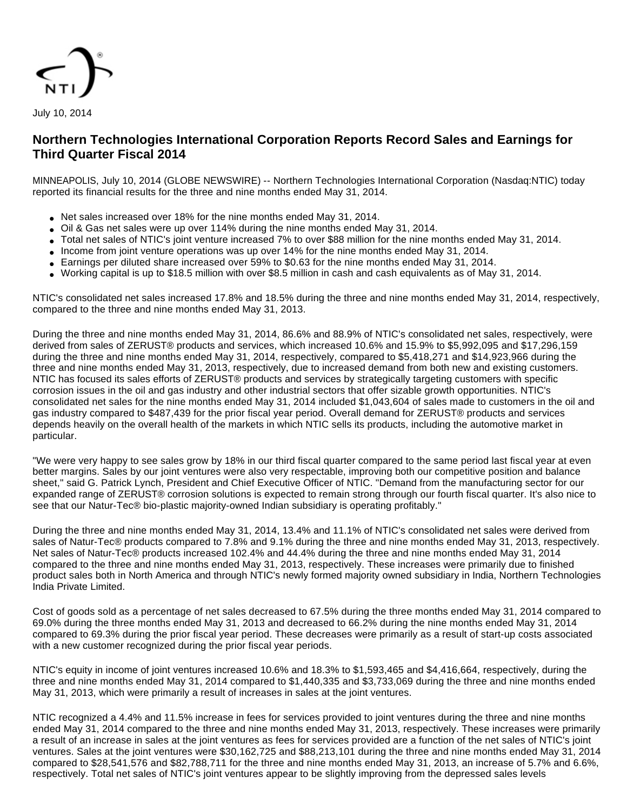

# **Northern Technologies International Corporation Reports Record Sales and Earnings for Third Quarter Fiscal 2014**

MINNEAPOLIS, July 10, 2014 (GLOBE NEWSWIRE) -- Northern Technologies International Corporation (Nasdaq:NTIC) today reported its financial results for the three and nine months ended May 31, 2014.

- Net sales increased over 18% for the nine months ended May 31, 2014.
- Oil & Gas net sales were up over 114% during the nine months ended May 31, 2014.
- Total net sales of NTIC's joint venture increased 7% to over \$88 million for the nine months ended May 31, 2014.
- Income from joint venture operations was up over 14% for the nine months ended May 31, 2014.
- Earnings per diluted share increased over 59% to \$0.63 for the nine months ended May 31, 2014.
- Working capital is up to \$18.5 million with over \$8.5 million in cash and cash equivalents as of May 31, 2014.

NTIC's consolidated net sales increased 17.8% and 18.5% during the three and nine months ended May 31, 2014, respectively, compared to the three and nine months ended May 31, 2013.

During the three and nine months ended May 31, 2014, 86.6% and 88.9% of NTIC's consolidated net sales, respectively, were derived from sales of ZERUST® products and services, which increased 10.6% and 15.9% to \$5,992,095 and \$17,296,159 during the three and nine months ended May 31, 2014, respectively, compared to \$5,418,271 and \$14,923,966 during the three and nine months ended May 31, 2013, respectively, due to increased demand from both new and existing customers. NTIC has focused its sales efforts of ZERUST® products and services by strategically targeting customers with specific corrosion issues in the oil and gas industry and other industrial sectors that offer sizable growth opportunities. NTIC's consolidated net sales for the nine months ended May 31, 2014 included \$1,043,604 of sales made to customers in the oil and gas industry compared to \$487,439 for the prior fiscal year period. Overall demand for ZERUST® products and services depends heavily on the overall health of the markets in which NTIC sells its products, including the automotive market in particular.

"We were very happy to see sales grow by 18% in our third fiscal quarter compared to the same period last fiscal year at even better margins. Sales by our joint ventures were also very respectable, improving both our competitive position and balance sheet," said G. Patrick Lynch, President and Chief Executive Officer of NTIC. "Demand from the manufacturing sector for our expanded range of ZERUST® corrosion solutions is expected to remain strong through our fourth fiscal quarter. It's also nice to see that our Natur-Tec® bio-plastic majority-owned Indian subsidiary is operating profitably."

During the three and nine months ended May 31, 2014, 13.4% and 11.1% of NTIC's consolidated net sales were derived from sales of Natur-Tec® products compared to 7.8% and 9.1% during the three and nine months ended May 31, 2013, respectively. Net sales of Natur-Tec® products increased 102.4% and 44.4% during the three and nine months ended May 31, 2014 compared to the three and nine months ended May 31, 2013, respectively. These increases were primarily due to finished product sales both in North America and through NTIC's newly formed majority owned subsidiary in India, Northern Technologies India Private Limited.

Cost of goods sold as a percentage of net sales decreased to 67.5% during the three months ended May 31, 2014 compared to 69.0% during the three months ended May 31, 2013 and decreased to 66.2% during the nine months ended May 31, 2014 compared to 69.3% during the prior fiscal year period. These decreases were primarily as a result of start-up costs associated with a new customer recognized during the prior fiscal year periods.

NTIC's equity in income of joint ventures increased 10.6% and 18.3% to \$1,593,465 and \$4,416,664, respectively, during the three and nine months ended May 31, 2014 compared to \$1,440,335 and \$3,733,069 during the three and nine months ended May 31, 2013, which were primarily a result of increases in sales at the joint ventures.

NTIC recognized a 4.4% and 11.5% increase in fees for services provided to joint ventures during the three and nine months ended May 31, 2014 compared to the three and nine months ended May 31, 2013, respectively. These increases were primarily a result of an increase in sales at the joint ventures as fees for services provided are a function of the net sales of NTIC's joint ventures. Sales at the joint ventures were \$30,162,725 and \$88,213,101 during the three and nine months ended May 31, 2014 compared to \$28,541,576 and \$82,788,711 for the three and nine months ended May 31, 2013, an increase of 5.7% and 6.6%, respectively. Total net sales of NTIC's joint ventures appear to be slightly improving from the depressed sales levels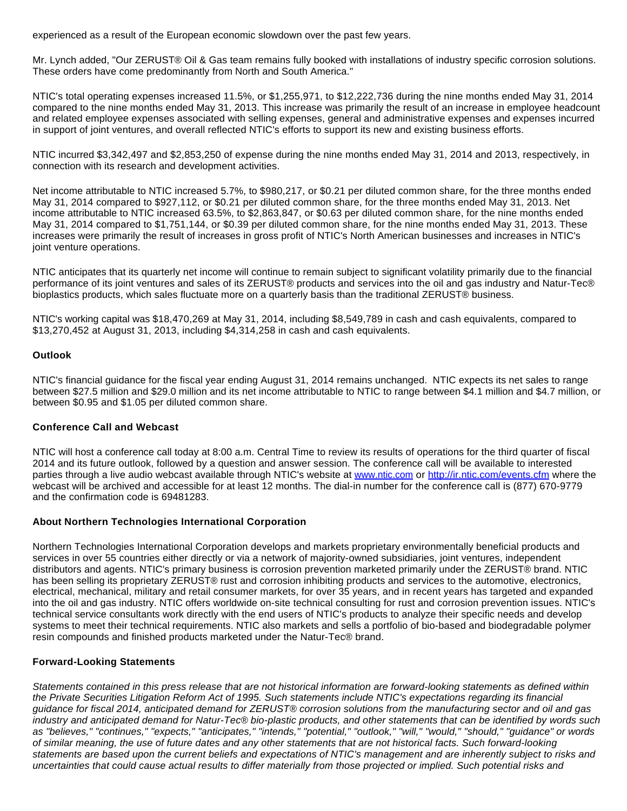experienced as a result of the European economic slowdown over the past few years.

Mr. Lynch added, "Our ZERUST® Oil & Gas team remains fully booked with installations of industry specific corrosion solutions. These orders have come predominantly from North and South America."

NTIC's total operating expenses increased 11.5%, or \$1,255,971, to \$12,222,736 during the nine months ended May 31, 2014 compared to the nine months ended May 31, 2013. This increase was primarily the result of an increase in employee headcount and related employee expenses associated with selling expenses, general and administrative expenses and expenses incurred in support of joint ventures, and overall reflected NTIC's efforts to support its new and existing business efforts.

NTIC incurred \$3,342,497 and \$2,853,250 of expense during the nine months ended May 31, 2014 and 2013, respectively, in connection with its research and development activities.

Net income attributable to NTIC increased 5.7%, to \$980,217, or \$0.21 per diluted common share, for the three months ended May 31, 2014 compared to \$927,112, or \$0.21 per diluted common share, for the three months ended May 31, 2013. Net income attributable to NTIC increased 63.5%, to \$2,863,847, or \$0.63 per diluted common share, for the nine months ended May 31, 2014 compared to \$1,751,144, or \$0.39 per diluted common share, for the nine months ended May 31, 2013. These increases were primarily the result of increases in gross profit of NTIC's North American businesses and increases in NTIC's joint venture operations.

NTIC anticipates that its quarterly net income will continue to remain subject to significant volatility primarily due to the financial performance of its joint ventures and sales of its ZERUST® products and services into the oil and gas industry and Natur-Tec® bioplastics products, which sales fluctuate more on a quarterly basis than the traditional ZERUST® business.

NTIC's working capital was \$18,470,269 at May 31, 2014, including \$8,549,789 in cash and cash equivalents, compared to \$13,270,452 at August 31, 2013, including \$4,314,258 in cash and cash equivalents.

## **Outlook**

NTIC's financial guidance for the fiscal year ending August 31, 2014 remains unchanged. NTIC expects its net sales to range between \$27.5 million and \$29.0 million and its net income attributable to NTIC to range between \$4.1 million and \$4.7 million, or between \$0.95 and \$1.05 per diluted common share.

### **Conference Call and Webcast**

NTIC will host a conference call today at 8:00 a.m. Central Time to review its results of operations for the third quarter of fiscal 2014 and its future outlook, followed by a question and answer session. The conference call will be available to interested parties through a live audio webcast available through NTIC's website at [www.ntic.com](http://www.globenewswire.com/newsroom/ctr?d=10088611&l=18&a=www.ntic.com&u=http%3A%2F%2Fwww.ntic.com) or [http://ir.ntic.com/events.cfm](http://www.globenewswire.com/newsroom/ctr?d=10088611&l=18&u=http%3A%2F%2Fir.ntic.com%2Fevents.cfm) where the webcast will be archived and accessible for at least 12 months. The dial-in number for the conference call is (877) 670-9779 and the confirmation code is 69481283.

### **About Northern Technologies International Corporation**

Northern Technologies International Corporation develops and markets proprietary environmentally beneficial products and services in over 55 countries either directly or via a network of majority-owned subsidiaries, joint ventures, independent distributors and agents. NTIC's primary business is corrosion prevention marketed primarily under the ZERUST® brand. NTIC has been selling its proprietary ZERUST® rust and corrosion inhibiting products and services to the automotive, electronics, electrical, mechanical, military and retail consumer markets, for over 35 years, and in recent years has targeted and expanded into the oil and gas industry. NTIC offers worldwide on-site technical consulting for rust and corrosion prevention issues. NTIC's technical service consultants work directly with the end users of NTIC's products to analyze their specific needs and develop systems to meet their technical requirements. NTIC also markets and sells a portfolio of bio-based and biodegradable polymer resin compounds and finished products marketed under the Natur-Tec® brand.

## **Forward-Looking Statements**

Statements contained in this press release that are not historical information are forward-looking statements as defined within the Private Securities Litigation Reform Act of 1995. Such statements include NTIC's expectations regarding its financial guidance for fiscal 2014, anticipated demand for ZERUST® corrosion solutions from the manufacturing sector and oil and gas industry and anticipated demand for Natur-Tec® bio-plastic products, and other statements that can be identified by words such as "believes," "continues," "expects," "anticipates," "intends," "potential," "outlook," "will," "would," "should," "guidance" or words of similar meaning, the use of future dates and any other statements that are not historical facts. Such forward-looking statements are based upon the current beliefs and expectations of NTIC's management and are inherently subject to risks and uncertainties that could cause actual results to differ materially from those projected or implied. Such potential risks and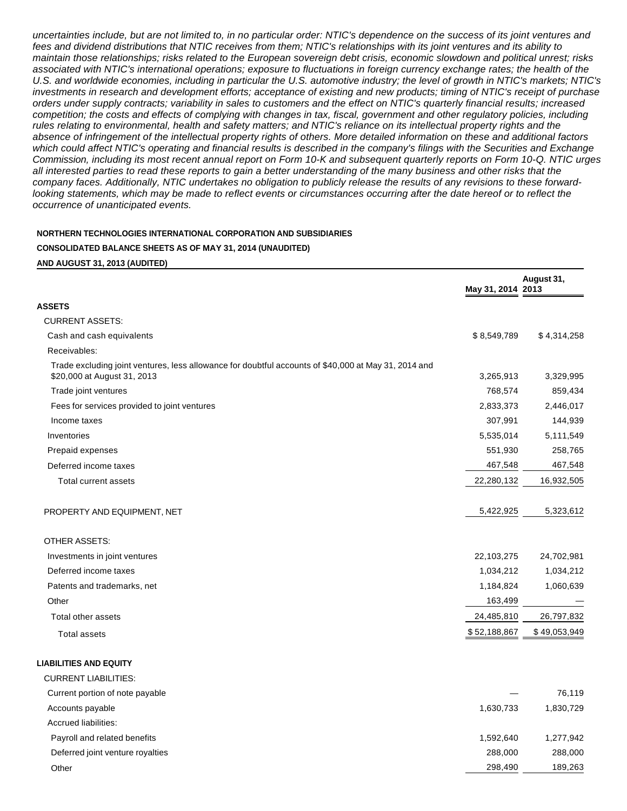uncertainties include, but are not limited to, in no particular order: NTIC's dependence on the success of its joint ventures and fees and dividend distributions that NTIC receives from them; NTIC's relationships with its joint ventures and its ability to maintain those relationships; risks related to the European sovereign debt crisis, economic slowdown and political unrest; risks associated with NTIC's international operations; exposure to fluctuations in foreign currency exchange rates; the health of the U.S. and worldwide economies, including in particular the U.S. automotive industry; the level of growth in NTIC's markets; NTIC's investments in research and development efforts; acceptance of existing and new products; timing of NTIC's receipt of purchase orders under supply contracts; variability in sales to customers and the effect on NTIC's quarterly financial results; increased competition; the costs and effects of complying with changes in tax, fiscal, government and other regulatory policies, including rules relating to environmental, health and safety matters; and NTIC's reliance on its intellectual property rights and the absence of infringement of the intellectual property rights of others. More detailed information on these and additional factors which could affect NTIC's operating and financial results is described in the company's filings with the Securities and Exchange Commission, including its most recent annual report on Form 10-K and subsequent quarterly reports on Form 10-Q. NTIC urges all interested parties to read these reports to gain a better understanding of the many business and other risks that the company faces. Additionally, NTIC undertakes no obligation to publicly release the results of any revisions to these forwardlooking statements, which may be made to reflect events or circumstances occurring after the date hereof or to reflect the occurrence of unanticipated events.

#### **NORTHERN TECHNOLOGIES INTERNATIONAL CORPORATION AND SUBSIDIARIES**

### **CONSOLIDATED BALANCE SHEETS AS OF MAY 31, 2014 (UNAUDITED)**

#### **AND AUGUST 31, 2013 (AUDITED)**

|                                                                                                                                     | May 31, 2014 2013 | August 31,   |
|-------------------------------------------------------------------------------------------------------------------------------------|-------------------|--------------|
| ASSETS                                                                                                                              |                   |              |
| <b>CURRENT ASSETS:</b>                                                                                                              |                   |              |
| Cash and cash equivalents                                                                                                           | \$8,549,789       | \$4,314,258  |
| Receivables:                                                                                                                        |                   |              |
| Trade excluding joint ventures, less allowance for doubtful accounts of \$40,000 at May 31, 2014 and<br>\$20,000 at August 31, 2013 | 3,265,913         | 3,329,995    |
| Trade joint ventures                                                                                                                | 768,574           | 859,434      |
| Fees for services provided to joint ventures                                                                                        | 2,833,373         | 2,446,017    |
| Income taxes                                                                                                                        | 307,991           | 144,939      |
| Inventories                                                                                                                         | 5,535,014         | 5,111,549    |
| Prepaid expenses                                                                                                                    | 551,930           | 258,765      |
| Deferred income taxes                                                                                                               | 467,548           | 467,548      |
| Total current assets                                                                                                                | 22,280,132        | 16,932,505   |
| PROPERTY AND EQUIPMENT, NET                                                                                                         | 5,422,925         | 5,323,612    |
| <b>OTHER ASSETS:</b>                                                                                                                |                   |              |
| Investments in joint ventures                                                                                                       | 22,103,275        | 24,702,981   |
| Deferred income taxes                                                                                                               | 1,034,212         | 1,034,212    |
| Patents and trademarks, net                                                                                                         | 1,184,824         | 1,060,639    |
| Other                                                                                                                               | 163,499           |              |
| Total other assets                                                                                                                  | 24,485,810        | 26,797,832   |
| <b>Total assets</b>                                                                                                                 | \$52,188,867      | \$49,053,949 |
| <b>LIABILITIES AND EQUITY</b>                                                                                                       |                   |              |
| <b>CURRENT LIABILITIES:</b>                                                                                                         |                   |              |
| Current portion of note payable                                                                                                     |                   | 76,119       |
| Accounts payable                                                                                                                    | 1,630,733         | 1,830,729    |
| <b>Accrued liabilities:</b>                                                                                                         |                   |              |
| Payroll and related benefits                                                                                                        | 1,592,640         | 1,277,942    |
| Deferred joint venture royalties                                                                                                    | 288,000           | 288,000      |

Other 298,490 189,263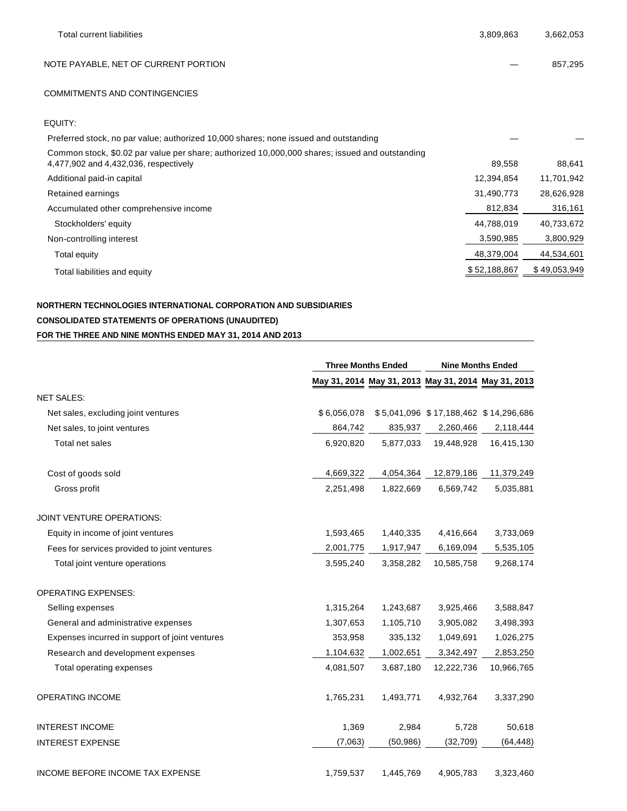| <b>Total current liabilities</b>                                                                                                        | 3,809,863    | 3,662,053    |
|-----------------------------------------------------------------------------------------------------------------------------------------|--------------|--------------|
| NOTE PAYABLE, NET OF CURRENT PORTION                                                                                                    |              | 857,295      |
| <b>COMMITMENTS AND CONTINGENCIES</b>                                                                                                    |              |              |
| EQUITY:                                                                                                                                 |              |              |
| Preferred stock, no par value; authorized 10,000 shares; none issued and outstanding                                                    |              |              |
| Common stock, \$0.02 par value per share; authorized 10,000,000 shares; issued and outstanding<br>4,477,902 and 4,432,036, respectively | 89,558       | 88,641       |
| Additional paid-in capital                                                                                                              | 12,394,854   | 11,701,942   |
| Retained earnings                                                                                                                       | 31,490,773   | 28,626,928   |
| Accumulated other comprehensive income                                                                                                  | 812,834      | 316,161      |
| Stockholders' equity                                                                                                                    | 44,788,019   | 40,733,672   |
| Non-controlling interest                                                                                                                | 3,590,985    | 3,800,929    |
| Total equity                                                                                                                            | 48,379,004   | 44,534,601   |
| Total liabilities and equity                                                                                                            | \$52,188,867 | \$49,053,949 |

# **NORTHERN TECHNOLOGIES INTERNATIONAL CORPORATION AND SUBSIDIARIES CONSOLIDATED STATEMENTS OF OPERATIONS (UNAUDITED) FOR THE THREE AND NINE MONTHS ENDED MAY 31, 2014 AND 2013**

|                                                | <b>Three Months Ended</b> |           | <b>Nine Months Ended</b> |                                                     |
|------------------------------------------------|---------------------------|-----------|--------------------------|-----------------------------------------------------|
|                                                |                           |           |                          | May 31, 2014 May 31, 2013 May 31, 2014 May 31, 2013 |
| <b>NET SALES:</b>                              |                           |           |                          |                                                     |
| Net sales, excluding joint ventures            | \$6,056,078               |           |                          | \$5,041,096 \$17,188,462 \$14,296,686               |
| Net sales, to joint ventures                   | 864,742                   | 835,937   | 2,260,466                | 2,118,444                                           |
| Total net sales                                | 6,920,820                 | 5,877,033 | 19,448,928               | 16,415,130                                          |
| Cost of goods sold                             | 4,669,322                 | 4,054,364 | 12,879,186               | 11,379,249                                          |
| Gross profit                                   | 2,251,498                 | 1,822,669 | 6,569,742                | 5,035,881                                           |
| <b>JOINT VENTURE OPERATIONS:</b>               |                           |           |                          |                                                     |
| Equity in income of joint ventures             | 1,593,465                 | 1,440,335 | 4,416,664                | 3,733,069                                           |
| Fees for services provided to joint ventures   | 2,001,775                 | 1,917,947 | 6,169,094                | 5,535,105                                           |
| Total joint venture operations                 | 3,595,240                 | 3,358,282 | 10,585,758               | 9,268,174                                           |
| <b>OPERATING EXPENSES:</b>                     |                           |           |                          |                                                     |
| Selling expenses                               | 1,315,264                 | 1,243,687 | 3,925,466                | 3,588,847                                           |
| General and administrative expenses            | 1,307,653                 | 1,105,710 | 3,905,082                | 3,498,393                                           |
| Expenses incurred in support of joint ventures | 353,958                   | 335,132   | 1,049,691                | 1,026,275                                           |
| Research and development expenses              | 1,104,632                 | 1,002,651 | 3,342,497                | 2,853,250                                           |
| Total operating expenses                       | 4,081,507                 | 3,687,180 | 12,222,736               | 10,966,765                                          |
| <b>OPERATING INCOME</b>                        | 1,765,231                 | 1,493,771 | 4,932,764                | 3,337,290                                           |
| <b>INTEREST INCOME</b>                         | 1,369                     | 2,984     | 5,728                    | 50,618                                              |
| <b>INTEREST EXPENSE</b>                        | (7,063)                   | (50, 986) | (32, 709)                | (64, 448)                                           |
| <b>INCOME BEFORE INCOME TAX EXPENSE</b>        | 1,759,537                 | 1,445,769 | 4,905,783                | 3,323,460                                           |